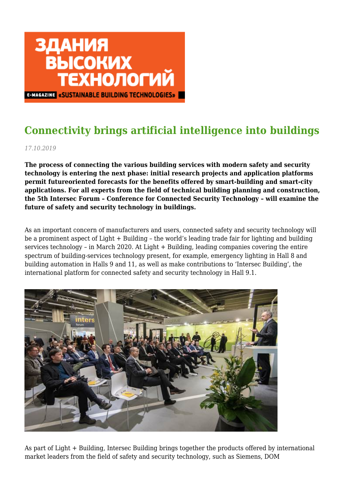

## **Connectivity brings artificial intelligence into buildings**

*17.10.2019*

**The process of connecting the various building services with modern safety and security technology is entering the next phase: initial research projects and application platforms permit futureoriented forecasts for the benefits offered by smart-building and smart-city applications. For all experts from the field of technical building planning and construction, the 5th Intersec Forum – Conference for Connected Security Technology – will examine the future of safety and security technology in buildings.**

As an important concern of manufacturers and users, connected safety and security technology will be a prominent aspect of Light + Building – the world's leading trade fair for lighting and building services technology – in March 2020. At Light + Building, leading companies covering the entire spectrum of building-services technology present, for example, emergency lighting in Hall 8 and building automation in Halls 9 and 11, as well as make contributions to 'Intersec Building', the international platform for connected safety and security technology in Hall 9.1.



As part of Light + Building, Intersec Building brings together the products offered by international market leaders from the field of safety and security technology, such as Siemens, DOM